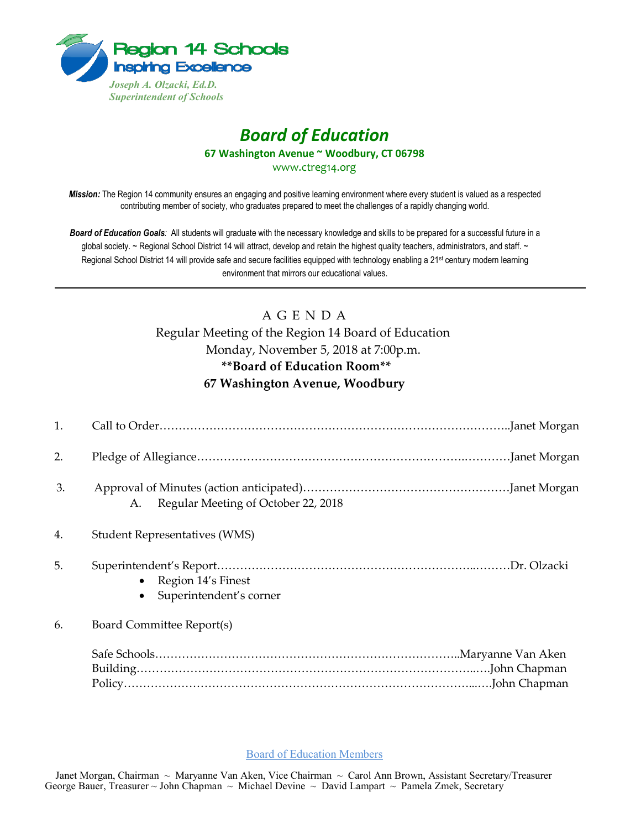

# *Board of Education* **67 Washington Avenue ~ Woodbury, CT 06798**

www.ctreg14.org

*Mission:* The Region 14 community ensures an engaging and positive learning environment where every student is valued as a respected contributing member of society, who graduates prepared to meet the challenges of a rapidly changing world.

*Board of Education Goals:* All students will graduate with the necessary knowledge and skills to be prepared for a successful future in a global society. ~ Regional School District 14 will attract, develop and retain the highest quality teachers, administrators, and staff. ~ Regional School District 14 will provide safe and secure facilities equipped with technology enabling a 21<sup>st</sup> century modern learning environment that mirrors our educational values.

# A G E N D A

Regular Meeting of the Region 14 Board of Education Monday, November 5, 2018 at 7:00p.m. **\*\*Board of Education Room\*\* 67 Washington Avenue, Woodbury** 

| 1. |                                                            |
|----|------------------------------------------------------------|
| 2. |                                                            |
| 3. | Regular Meeting of October 22, 2018<br>A.                  |
| 4. | <b>Student Representatives (WMS)</b>                       |
| 5. | Region 14's Finest<br>$\bullet$<br>Superintendent's corner |
| 6. | Board Committee Report(s)                                  |
|    |                                                            |

#### Board of Education Members